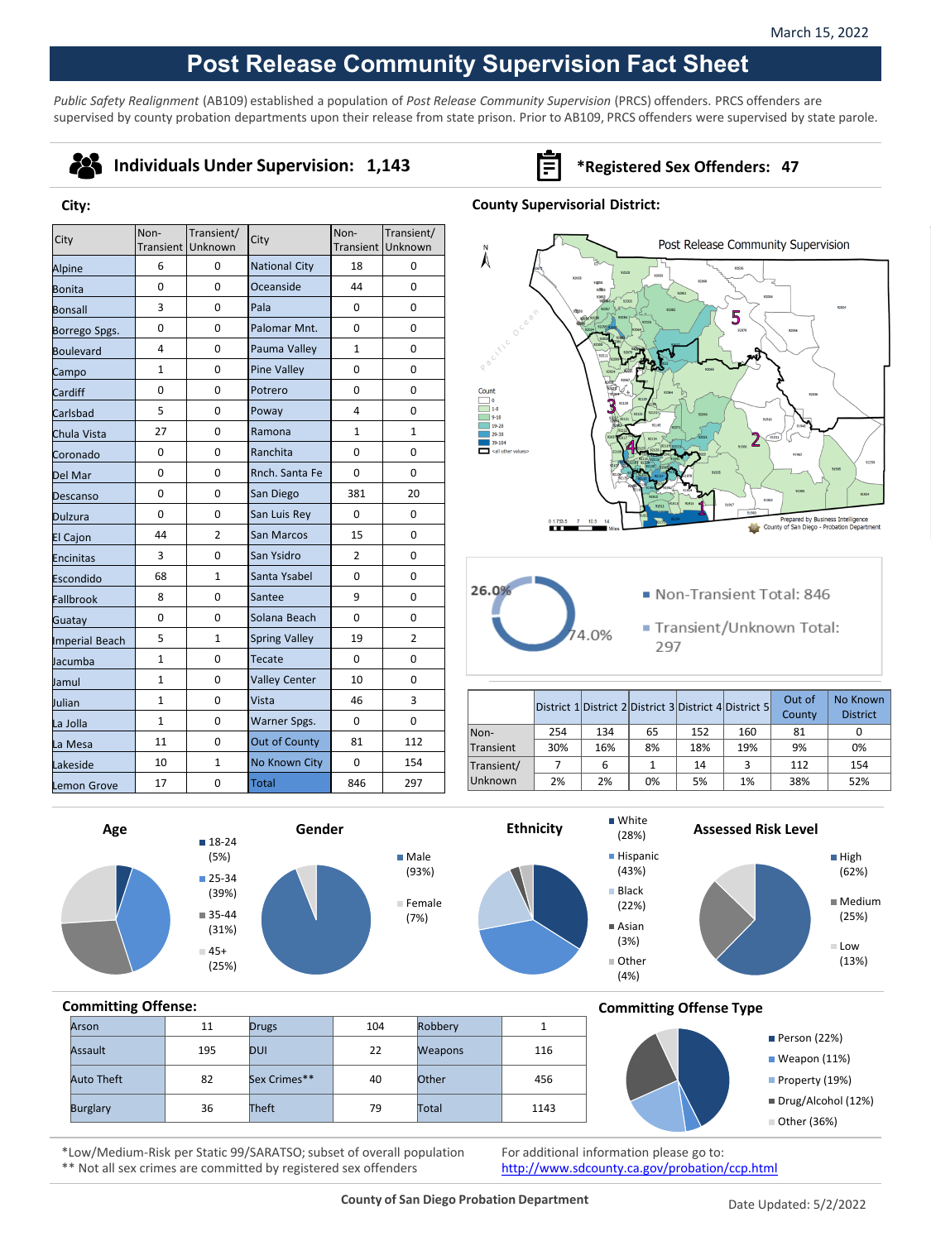# **Post Release Community Supervision Fact Sheet**

*Public Safety Realignment* (AB109) established a population of *Post Release Community Supervision* (PRCS) offenders. PRCS offenders are supervised by county probation departments upon their release from state prison. Prior to AB109, PRCS offenders were supervised by state parole.

# 28

**City:**

### **Individuals Under Supervision: 1,143 Fig. 3.143 \*Registered Sex Offenders: 47**

#### **County Supervisorial District:**

| City            | Non-         | Transient/<br>Transient Unknown | City                 | Non-           | Transient/<br>Transient Unknown |
|-----------------|--------------|---------------------------------|----------------------|----------------|---------------------------------|
| Alpine          | 6            | 0                               | <b>National City</b> | 18             | 0                               |
| Bonita          | $\Omega$     | $\Omega$                        | Oceanside            | 44             | $\Omega$                        |
| Bonsall         | 3            | 0                               | Pala                 | 0              | 0                               |
| Borrego Spgs.   | $\mathbf 0$  | 0                               | Palomar Mnt.         | 0              | 0                               |
| Boulevard       | 4            | 0                               | Pauma Valley         | $\mathbf{1}$   | $\Omega$                        |
| Campo           | $\mathbf{1}$ | 0                               | <b>Pine Valley</b>   | 0              | 0                               |
| Cardiff         | 0            | 0                               | Potrero              | $\Omega$       | 0                               |
| Carlsbad        | 5            | 0                               | Poway                | 4              | $\Omega$                        |
| Chula Vista     | 27           | 0                               | Ramona               | 1              | $\mathbf{1}$                    |
| Coronado        | 0            | 0                               | Ranchita             | 0              | 0                               |
| Del Mar         | 0            | 0                               | Rnch. Santa Fe       | 0              | 0                               |
| Descanso        | 0            | 0                               | San Diego            | 381            | 20                              |
| Dulzura         | $\Omega$     | $\Omega$                        | San Luis Rey         | 0              | 0                               |
| <b>El Cajon</b> | 44           | $\overline{2}$                  | San Marcos           | 15             | 0                               |
| Encinitas       | 3            | 0                               | San Ysidro           | $\overline{2}$ | 0                               |
| Escondido       | 68           | $\mathbf{1}$                    | Santa Ysabel         | $\Omega$       | $\Omega$                        |
| Fallbrook       | 8            | 0                               | Santee               | 9              | 0                               |
| Guatay          | 0            | 0                               | Solana Beach         | $\Omega$       | 0                               |
| Imperial Beach  | 5            | $\mathbf{1}$                    | <b>Spring Valley</b> | 19             | $\overline{2}$                  |
| Jacumba         | $\mathbf{1}$ | 0                               | Tecate               | $\Omega$       | 0                               |
| Jamul           | $\mathbf{1}$ | 0                               | <b>Valley Center</b> | 10             | 0                               |
| Julian          | $\mathbf{1}$ | 0                               | Vista                | 46             | 3                               |
| La Jolla        | $\mathbf{1}$ | 0                               | Warner Spgs.         | 0              | 0                               |
| La Mesa         | 11           | 0                               | Out of County        | 81             | 112                             |
| Lakeside        | 10           | $\mathbf{1}$                    | No Known City        | 0              | 154                             |
| Lemon Grove     | 17           | 0                               | <b>Total</b>         | 846            | 297                             |





- Non-Transient Total: 846
- Transient/Unknown Total: 297

|                |     |     |    |     | District 1 District 2 District 3 District 4 District 5 | Out of<br>County | No Known<br><b>District</b> |
|----------------|-----|-----|----|-----|--------------------------------------------------------|------------------|-----------------------------|
| Non-           | 254 | 134 | 65 | 152 | 160                                                    | 81               |                             |
| Transient      | 30% | 16% | 8% | 18% | 19%                                                    | 9%               | 0%                          |
| Transient/     |     | 6   |    | 14  | 3                                                      | 112              | 154                         |
| <b>Unknown</b> | 2%  | 2%  | 0% | 5%  | 1%                                                     | 38%              | 52%                         |

(28%)







**Assessed Risk Level**





## **Committing Offense:** Arson | 11 Drugs | 104 Robbery | 1 Assault 195 DUI 22 Weapons 116 Auto Theft 82 Sex Crimes\*\* 40 Other 456 Burglary 36 Theft 79 Total 1143

#### **Committing Offense Type**



\*Low/Medium-Risk per Static 99/SARATSO; subset of overall population \*\* Not all sex crimes are committed by registered sex offenders

For additional information please go to: <http://www.sdcounty.ca.gov/probation/ccp.html>